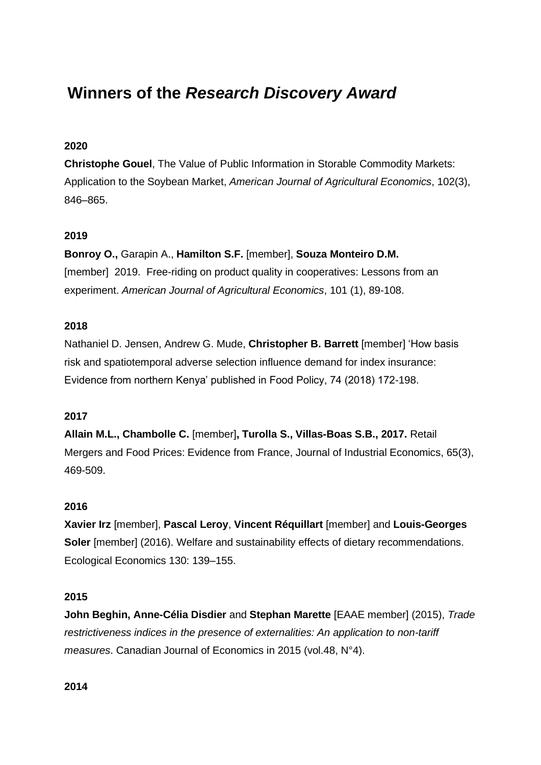# **Winners of the** *Research Discovery Award*

# **2020**

**Christophe Gouel**, The Value of Public Information in Storable Commodity Markets: Application to the Soybean Market, *American Journal of Agricultural Economics*, 102(3), 846–865.

# **2019**

**Bonroy O.,** Garapin A., **Hamilton S.F.** [member], **Souza Monteiro D.M.** [member] 2019. Free-riding on product quality in cooperatives: Lessons from an experiment. *American Journal of Agricultural Economics*, 101 (1), 89-108.

# **2018**

Nathaniel D. Jensen, Andrew G. Mude, **Christopher B. Barrett** [member] 'How basis risk and spatiotemporal adverse selection influence demand for index insurance: Evidence from northern Kenya' published in Food Policy, 74 (2018) 172-198.

# **2017**

**Allain M.L., Chambolle C.** [member]**, Turolla S., Villas-Boas S.B., 2017.** Retail Mergers and Food Prices: Evidence from France, Journal of Industrial Economics, 65(3), 469-509.

# **2016**

**Xavier Irz** [member], **Pascal Leroy**, **Vincent Réquillart** [member] and **Louis-Georges Soler** [member] (2016). Welfare and sustainability effects of dietary recommendations. Ecological Economics 130: 139–155.

# **2015**

**John Beghin, Anne-Célia Disdier** and **Stephan Marette** [EAAE member] (2015), *Trade restrictiveness indices in the presence of externalities: An application to non-tariff measures*. Canadian Journal of Economics in 2015 (vol.48, N°4).

**2014**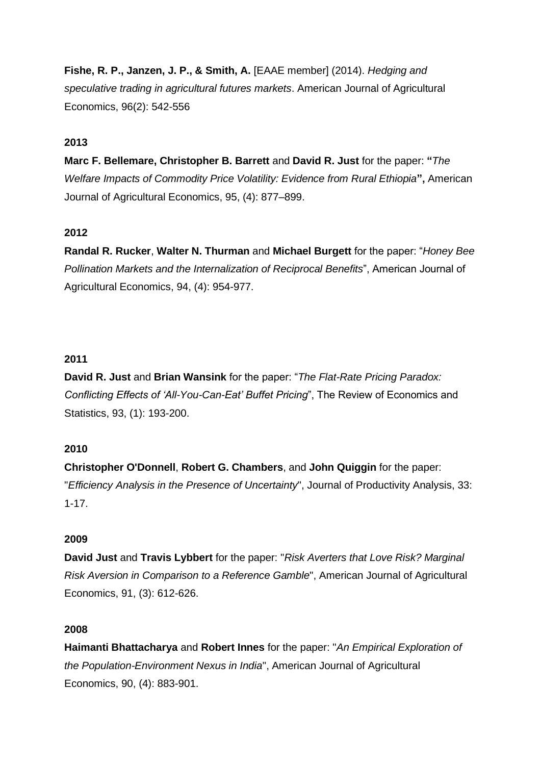**Fishe, R. P., Janzen, J. P., & Smith, A.** [EAAE member] (2014). *Hedging and speculative trading in agricultural futures markets*. American Journal of Agricultural Economics, 96(2): 542-556

## **2013**

**Marc F. Bellemare, Christopher B. Barrett** and **David R. Just** for the paper: **"***The Welfare Impacts of Commodity Price Volatility: Evidence from Rural Ethiopia***",** American Journal of Agricultural Economics, 95, (4): 877–899.

## **2012**

**Randal R. Rucker**, **Walter N. Thurman** and **Michael Burgett** for the paper: "*Honey Bee Pollination Markets and the Internalization of Reciprocal Benefits*", American Journal of Agricultural Economics, 94, (4): 954-977.

## **2011**

**David R. Just** and **Brian Wansink** for the paper: "*The Flat-Rate Pricing Paradox: Conflicting Effects of 'All-You-Can-Eat' Buffet Pricing*", The Review of Economics and Statistics, 93, (1): 193-200.

### **2010**

**Christopher O'Donnell**, **Robert G. Chambers**, and **John Quiggin** for the paper: "*Efficiency Analysis in the Presence of Uncertainty*", Journal of Productivity Analysis, 33: 1-17.

### **2009**

**David Just** and **Travis Lybbert** for the paper: "*Risk Averters that Love Risk? Marginal Risk Aversion in Comparison to a Reference Gamble*", American Journal of Agricultural Economics, 91, (3): 612-626.

### **2008**

**Haimanti Bhattacharya** and **Robert Innes** for the paper: "*An Empirical Exploration of the Population-Environment Nexus in India*", American Journal of Agricultural Economics, 90, (4): 883-901.